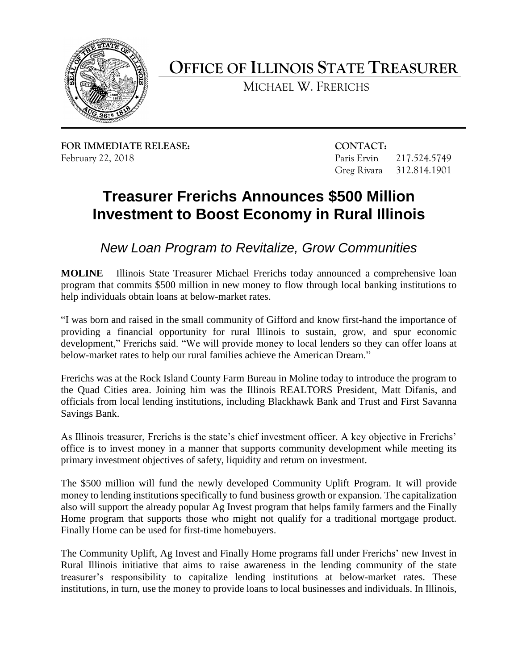

**OFFICE OF ILLINOIS STATE TREASURER** 

MICHAEL W. FRERICHS

**FOR IMMEDIATE RELEASE: CONTACT:**  February 22, 2018 Paris Ervin 217.524.5749

Greg Rivara 312.814.1901

# **Treasurer Frerichs Announces \$500 Million Investment to Boost Economy in Rural Illinois**

*New Loan Program to Revitalize, Grow Communities* 

 **MOLINE** – Illinois State Treasurer Michael Frerichs today announced a comprehensive loan program that commits \$500 million in new money to flow through local banking institutions to help individuals obtain loans at below-market rates.

 "I was born and raised in the small community of Gifford and know first-hand the importance of providing a financial opportunity for rural Illinois to sustain, grow, and spur economic development," Frerichs said. "We will provide money to local lenders so they can offer loans at below-market rates to help our rural families achieve the American Dream."

 Frerichs was at the Rock Island County Farm Bureau in Moline today to introduce the program to the Quad Cities area. Joining him was the Illinois REALTORS President, Matt Difanis, and officials from local lending institutions, including Blackhawk Bank and Trust and First Savanna Savings Bank.

 As Illinois treasurer, Frerichs is the state's chief investment officer. A key objective in Frerichs' office is to invest money in a manner that supports community development while meeting its primary investment objectives of safety, liquidity and return on investment.

 The \$500 million will fund the newly developed Community Uplift Program. It will provide money to lending institutions specifically to fund business growth or expansion. The capitalization also will support the already popular Ag Invest program that helps family farmers and the Finally Home program that supports those who might not qualify for a traditional mortgage product. Finally Home can be used for first-time homebuyers.

 The Community Uplift, Ag Invest and Finally Home programs fall under Frerichs' new Invest in Rural Illinois initiative that aims to raise awareness in the lending community of the state treasurer's responsibility to capitalize lending institutions at below-market rates. These institutions, in turn, use the money to provide loans to local businesses and individuals. In Illinois,